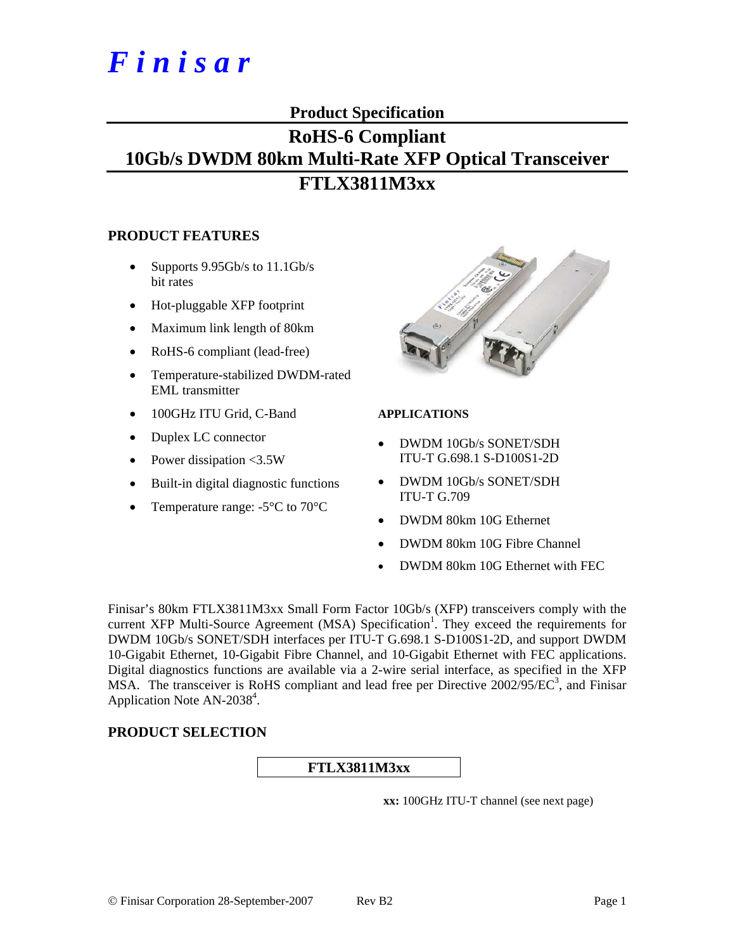# **Product Specification**

# **RoHS-6 Compliant 10Gb/s DWDM 80km Multi-Rate XFP Optical Transceiver FTLX3811M3xx**

#### **PRODUCT FEATURES**

- Supports  $9.95Gb/s$  to  $11.1Gb/s$ bit rates
- Hot-pluggable XFP footprint
- Maximum link length of 80km
- RoHS-6 compliant (lead-free)
- Temperature-stabilized DWDM-rated EML transmitter
- 100GHz ITU Grid, C-Band
- Duplex LC connector
- Power dissipation <3.5W
- Built-in digital diagnostic functions
- Temperature range:  $-5^{\circ}$ C to  $70^{\circ}$ C



#### **APPLICATIONS**

- DWDM 10Gb/s SONET/SDH ITU-T G.698.1 S-D100S1-2D
- DWDM 10Gb/s SONET/SDH ITU-T G.709
- DWDM 80km 10G Ethernet
- DWDM 80km 10G Fibre Channel
- DWDM 80km 10G Ethernet with FEC

Finisar's 80km FTLX3811M3xx Small Form Factor 10Gb/s (XFP) transceivers comply with the current XFP Multi-Source Agreement (MSA) Specification<sup>1</sup>. They exceed the requirements for DWDM 10Gb/s SONET/SDH interfaces per ITU-T G.698.1 S-D100S1-2D, and support DWDM 10-Gigabit Ethernet, 10-Gigabit Fibre Channel, and 10-Gigabit Ethernet with FEC applications. Digital diagnostics functions are available via a 2-wire serial interface, as specified in the XFP MSA. The transceiver is RoHS compliant and lead free per Directive  $2002/95/EC^3$ , and Finisar Application Note AN-2038<sup>4</sup>.

#### **PRODUCT SELECTION**

**FTLX3811M3xx** 

**xx:** 100GHz ITU-T channel (see next page)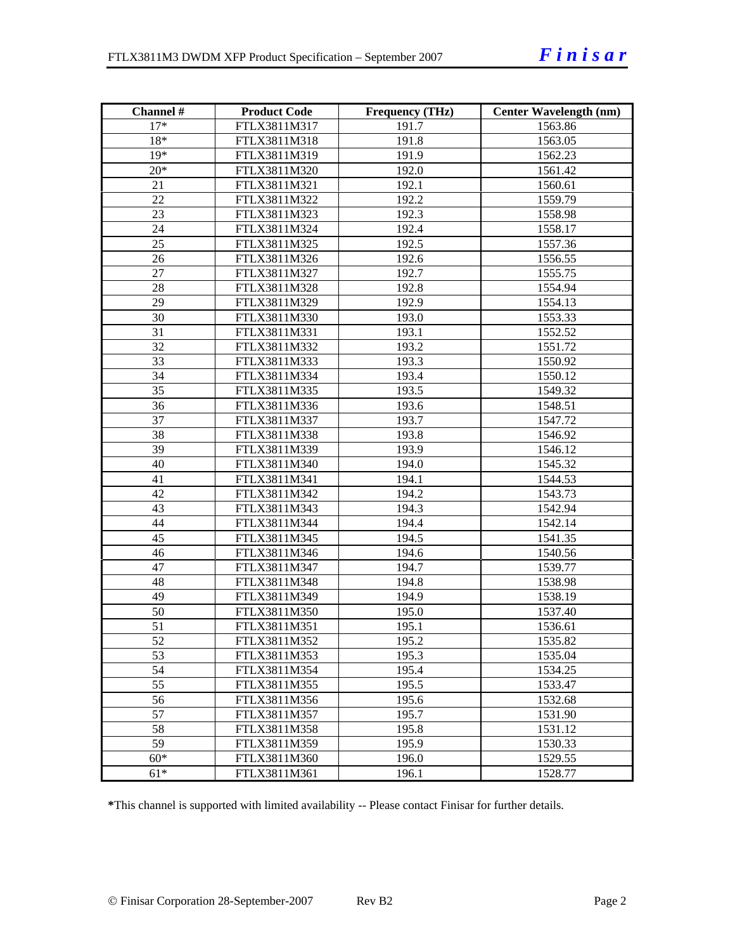| Channel # | <b>Product Code</b> | <b>Frequency (THz)</b> | Center Wavelength (nm) |
|-----------|---------------------|------------------------|------------------------|
| $17*$     | FTLX3811M317        | 191.7                  | 1563.86                |
| 18*       | FTLX3811M318        | 191.8                  | 1563.05                |
| $19*$     | FTLX3811M319        | 191.9                  | 1562.23                |
| $20*$     | FTLX3811M320        | 192.0                  | 1561.42                |
| 21        | FTLX3811M321        | 192.1                  | 1560.61                |
| 22        | FTLX3811M322        | 192.2                  | 1559.79                |
| 23        | FTLX3811M323        | 192.3                  | 1558.98                |
| 24        | FTLX3811M324        | 192.4                  | 1558.17                |
| 25        | FTLX3811M325        | 192.5                  | 1557.36                |
| 26        | FTLX3811M326        | 192.6                  | 1556.55                |
| 27        | FTLX3811M327        | 192.7                  | 1555.75                |
| 28        | FTLX3811M328        | 192.8                  | 1554.94                |
| 29        | FTLX3811M329        | 192.9                  | 1554.13                |
| 30        | FTLX3811M330        | 193.0                  | 1553.33                |
| 31        | FTLX3811M331        | 193.1                  | 1552.52                |
| 32        | FTLX3811M332        | 193.2                  | 1551.72                |
| 33        | FTLX3811M333        | 193.3                  | 1550.92                |
| 34        | FTLX3811M334        | 193.4                  | 1550.12                |
| 35        | FTLX3811M335        | 193.5                  | 1549.32                |
| 36        | FTLX3811M336        | 193.6                  | 1548.51                |
| 37        | FTLX3811M337        | 193.7                  | 1547.72                |
| 38        | FTLX3811M338        | 193.8                  | 1546.92                |
| 39        | FTLX3811M339        | 193.9                  | 1546.12                |
| 40        | FTLX3811M340        | 194.0                  | 1545.32                |
| 41        | FTLX3811M341        | 194.1                  | 1544.53                |
| 42        | FTLX3811M342        | 194.2                  | 1543.73                |
| 43        | FTLX3811M343        | 194.3                  | 1542.94                |
| 44        | FTLX3811M344        | 194.4                  | 1542.14                |
| 45        | FTLX3811M345        | 194.5                  | 1541.35                |
| 46        | FTLX3811M346        | 194.6                  | 1540.56                |
| 47        | FTLX3811M347        | 194.7                  | 1539.77                |
| 48        | FTLX3811M348        | 194.8                  | 1538.98                |
| 49        | FTLX3811M349        | 194.9                  | 1538.19                |
| 50        | FTLX3811M350        | 195.0                  | 1537.40                |
| 51        | FTLX3811M351        | 195.1                  | 1536.61                |
| 52        | FTLX3811M352        | 195.2                  | 1535.82                |
| 53        | FTLX3811M353        | 195.3                  | 1535.04                |
| 54        | FTLX3811M354        | 195.4                  | 1534.25                |
| 55        | FTLX3811M355        | 195.5                  | 1533.47                |
| 56        | FTLX3811M356        | 195.6                  | 1532.68                |
| 57        | FTLX3811M357        | 195.7                  | 1531.90                |
| 58        | FTLX3811M358        | 195.8                  | 1531.12                |
| 59        | FTLX3811M359        | 195.9                  | 1530.33                |
| $60*$     | FTLX3811M360        | 196.0                  | 1529.55                |
| $61*$     | FTLX3811M361        | 196.1                  | 1528.77                |

**\***This channel is supported with limited availability -- Please contact Finisar for further details.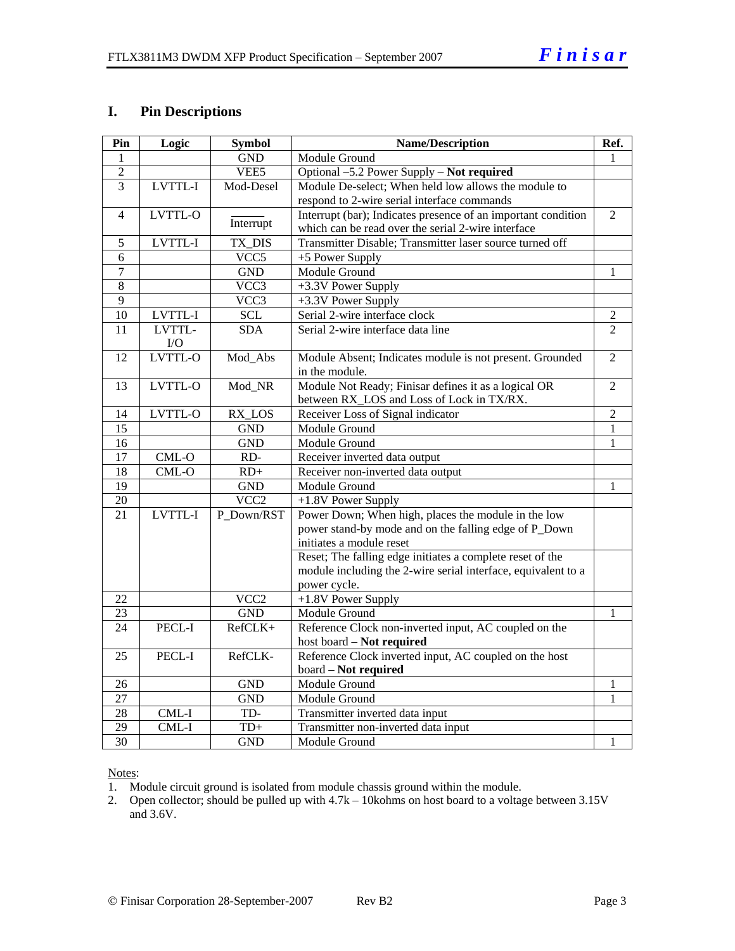# **I. Pin Descriptions**

| Pin             | Logic   | <b>Symbol</b>    | <b>Name/Description</b>                                       | Ref.           |
|-----------------|---------|------------------|---------------------------------------------------------------|----------------|
| 1               |         | <b>GND</b>       | Module Ground                                                 |                |
| $\overline{2}$  |         | VEE5             | Optional -5.2 Power Supply - Not required                     |                |
| $\overline{3}$  | LVTTL-I | Mod-Desel        | Module De-select; When held low allows the module to          |                |
|                 |         |                  | respond to 2-wire serial interface commands                   |                |
| $\overline{4}$  | LVTTL-O |                  | Interrupt (bar); Indicates presence of an important condition | 2              |
|                 |         | Interrupt        | which can be read over the serial 2-wire interface            |                |
| 5               | LVTTL-I | TX_DIS           | Transmitter Disable; Transmitter laser source turned off      |                |
| 6               |         | VCC5             | +5 Power Supply                                               |                |
| 7               |         | <b>GND</b>       | Module Ground                                                 | 1              |
| 8               |         | VCC3             | +3.3V Power Supply                                            |                |
| 9               |         | VCC3             | +3.3V Power Supply                                            |                |
| 10              | LVTTL-I | <b>SCL</b>       | Serial 2-wire interface clock                                 | 2              |
| 11              | LVTTL-  | <b>SDA</b>       | Serial 2-wire interface data line                             | $\overline{2}$ |
|                 | I/O     |                  |                                                               |                |
| 12              | LVTTL-O | Mod_Abs          | Module Absent; Indicates module is not present. Grounded      | $\overline{2}$ |
|                 |         |                  | in the module.                                                |                |
| 13              | LVTTL-O | Mod_NR           | Module Not Ready; Finisar defines it as a logical OR          | 2              |
|                 |         |                  | between RX_LOS and Loss of Lock in TX/RX.                     |                |
| 14              | LVTTL-O | RX_LOS           | Receiver Loss of Signal indicator                             | $\overline{2}$ |
| 15              |         | <b>GND</b>       | Module Ground                                                 | $\mathbf{1}$   |
| 16              |         | <b>GND</b>       | Module Ground                                                 | 1              |
| 17              | $CML-O$ | RD-              | Receiver inverted data output                                 |                |
| 18              | CML-O   | $RD+$            | Receiver non-inverted data output                             |                |
| 19              |         | <b>GND</b>       | Module Ground                                                 | 1              |
| $\overline{20}$ |         | VCC <sub>2</sub> | +1.8V Power Supply                                            |                |
| $\overline{21}$ | LVTTL-I | P Down/RST       | Power Down; When high, places the module in the low           |                |
|                 |         |                  | power stand-by mode and on the falling edge of P_Down         |                |
|                 |         |                  | initiates a module reset                                      |                |
|                 |         |                  | Reset; The falling edge initiates a complete reset of the     |                |
|                 |         |                  | module including the 2-wire serial interface, equivalent to a |                |
|                 |         |                  | power cycle.                                                  |                |
| 22              |         | VCC <sub>2</sub> | +1.8V Power Supply                                            |                |
| 23              |         | <b>GND</b>       | Module Ground                                                 | 1              |
| 24              | PECL-I  | RefCLK+          | Reference Clock non-inverted input, AC coupled on the         |                |
|                 |         |                  | host board - Not required                                     |                |
| 25              | PECL-I  | RefCLK-          | Reference Clock inverted input, AC coupled on the host        |                |
|                 |         |                  | board - Not required                                          |                |
| 26              |         | <b>GND</b>       | Module Ground                                                 | 1              |
| 27              |         | <b>GND</b>       | Module Ground                                                 | 1              |
| 28              | $CML-I$ | TD-              | Transmitter inverted data input                               |                |
| $\overline{29}$ | CML-I   | $TD+$            | Transmitter non-inverted data input                           |                |
| $\overline{30}$ |         | <b>GND</b>       | Module Ground                                                 | 1              |

#### Notes:

1. Module circuit ground is isolated from module chassis ground within the module.

2. Open collector; should be pulled up with 4.7k – 10kohms on host board to a voltage between 3.15V and 3.6V.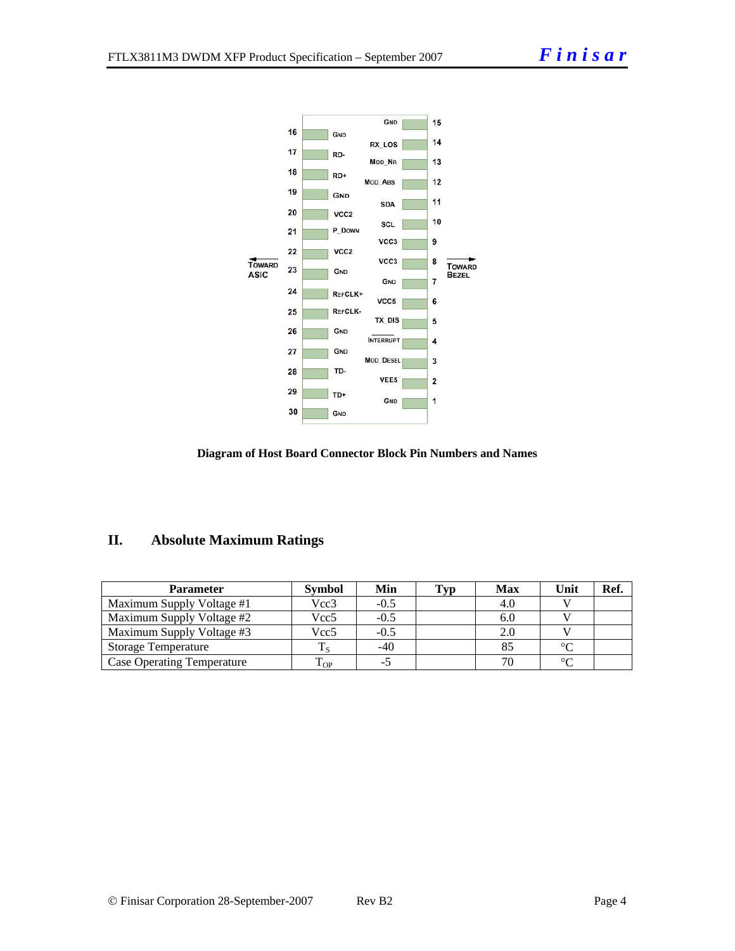

#### **Diagram of Host Board Connector Block Pin Numbers and Names**

## **II. Absolute Maximum Ratings**

| Parameter                         | <b>Symbol</b> | Min    | <b>Typ</b> | <b>Max</b> | Unit    | Ref. |
|-----------------------------------|---------------|--------|------------|------------|---------|------|
| Maximum Supply Voltage #1         | Vcc3          | $-0.5$ |            | 4.0        |         |      |
| Maximum Supply Voltage #2         | Vcc5          | $-0.5$ |            | 6.0        |         |      |
| Maximum Supply Voltage #3         | Vcc5          | $-0.5$ |            | 2.0        |         |      |
| <b>Storage Temperature</b>        |               | -40    |            | 85         | $\circ$ |      |
| <b>Case Operating Temperature</b> | m.<br>L OP.   |        |            | 70         | $\sim$  |      |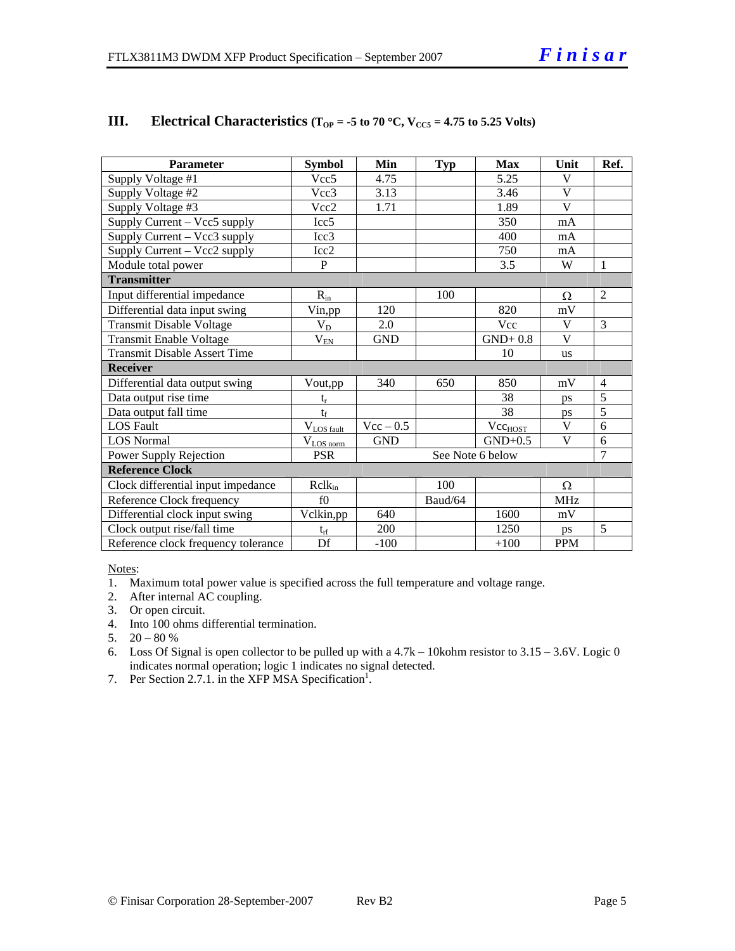| <b>Parameter</b>                    | <b>Symbol</b>    | Min              | <b>Typ</b> | <b>Max</b>          | Unit                    | Ref. |  |
|-------------------------------------|------------------|------------------|------------|---------------------|-------------------------|------|--|
| Supply Voltage #1                   | Vcc <sub>5</sub> | 4.75             |            | 5.25                | V                       |      |  |
| Supply Voltage #2                   | Vec3             | 3.13             |            | 3.46                | $\overline{\mathbf{V}}$ |      |  |
| Supply Voltage #3                   | Vcc2             | 1.71             |            | 1.89                | $\mathbf{V}$            |      |  |
| Supply Current - Vcc5 supply        | Icc <sub>5</sub> |                  |            | 350                 | mA                      |      |  |
| Supply Current – Vcc3 supply        | Icc3             |                  |            | 400                 | mA                      |      |  |
| Supply Current – Vcc2 supply        | Icc2             |                  |            | 750                 | mA                      |      |  |
| Module total power                  | $\mathbf{P}$     |                  |            | 3.5                 | W                       | 1    |  |
| <b>Transmitter</b>                  |                  |                  |            |                     |                         |      |  |
| Input differential impedance        | $R_{in}$         |                  | 100        |                     | Ω                       | 2    |  |
| Differential data input swing       | Vin,pp           | 120              |            | 820                 | mV                      |      |  |
| <b>Transmit Disable Voltage</b>     | $V_{D}$          | 2.0              |            | Vcc                 | V                       | 3    |  |
| Transmit Enable Voltage             | $\rm V_{\rm EN}$ | <b>GND</b>       |            | $GND+0.8$           | V                       |      |  |
| <b>Transmit Disable Assert Time</b> |                  |                  |            | 10                  | <b>us</b>               |      |  |
| <b>Receiver</b>                     |                  |                  |            |                     |                         |      |  |
| Differential data output swing      | Vout,pp          | 340              | 650        | 850                 | mV                      | 4    |  |
| Data output rise time               | $t_r$            |                  |            | 38                  | ps                      | 5    |  |
| Data output fall time               | $t_f$            |                  |            | 38                  | ps                      | 5    |  |
| <b>LOS Fault</b>                    | $V_{LOS fault}$  | $Vec - 0.5$      |            | Vec <sub>HOST</sub> | V                       | 6    |  |
| <b>LOS Normal</b>                   | $V_{LOS\,norm}$  | <b>GND</b>       |            | $GND+0.5$           | V                       | 6    |  |
| Power Supply Rejection              | <b>PSR</b>       | See Note 6 below |            |                     |                         | 7    |  |
| <b>Reference Clock</b>              |                  |                  |            |                     |                         |      |  |
| Clock differential input impedance  | $R$ cl $k_{in}$  |                  | 100        |                     | Ω                       |      |  |
| Reference Clock frequency           | f()              |                  | Baud/64    |                     | <b>MHz</b>              |      |  |
| Differential clock input swing      | Vclkin,pp        | 640              |            | 1600                | mV                      |      |  |
| Clock output rise/fall time         | $t_{rf}$         | 200              |            | 1250                | ps                      | 5    |  |
| Reference clock frequency tolerance | Df               | $-100$           |            | $+100$              | <b>PPM</b>              |      |  |

## **III.** Electrical Characteristics ( $T_{OP} = -5$  to 70 °C,  $V_{CC5} = 4.75$  to 5.25 Volts)

Notes:

1. Maximum total power value is specified across the full temperature and voltage range.

- 2. After internal AC coupling.
- 3. Or open circuit.
- 4. Into 100 ohms differential termination.
- 5.  $20 80 %$
- 6. Loss Of Signal is open collector to be pulled up with a  $4.7k 10$ kohm resistor to  $3.15 3.6V$ . Logic 0 indicates normal operation; logic 1 indicates no signal detected.
- 7. Per Section 2.7.1. in the XFP MSA Specification<sup>1</sup>.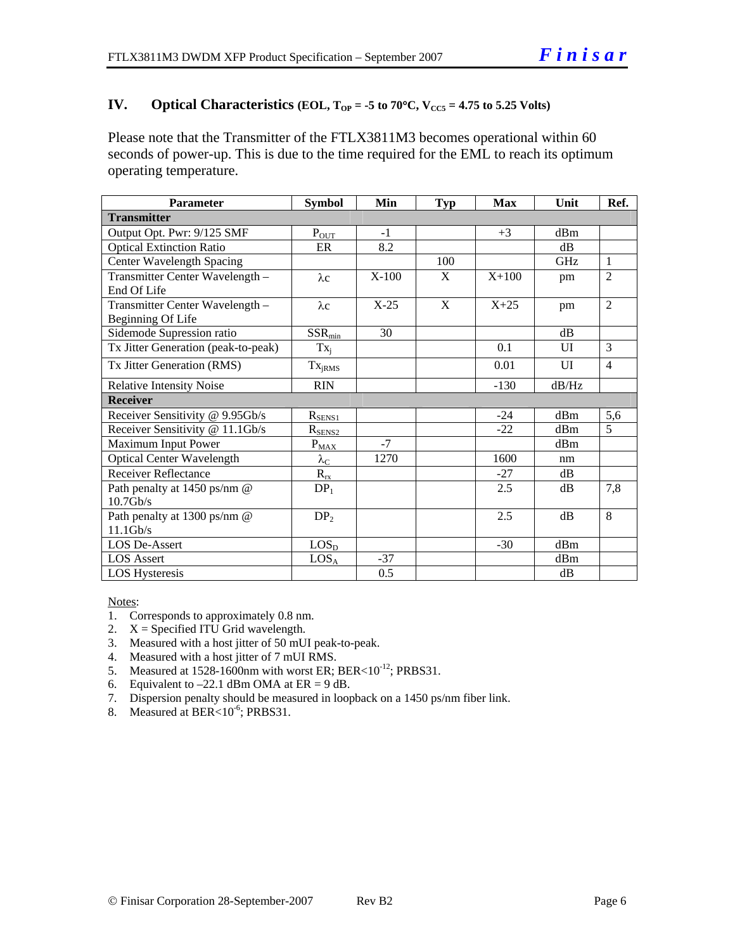### **IV.** Optical Characteristics (EOL,  $T_{OP} = -5$  to  $70^{\circ}$ C,  $V_{CC5} = 4.75$  to 5.25 Volts)

Please note that the Transmitter of the FTLX3811M3 becomes operational within 60 seconds of power-up. This is due to the time required for the EML to reach its optimum operating temperature.

| <b>Parameter</b>                    | <b>Symbol</b>        | Min     | <b>Typ</b> | <b>Max</b> | Unit       | Ref.           |  |  |
|-------------------------------------|----------------------|---------|------------|------------|------------|----------------|--|--|
| <b>Transmitter</b>                  |                      |         |            |            |            |                |  |  |
| Output Opt. Pwr: 9/125 SMF          | $P_{OUT}$            | $-1$    |            | $+3$       | dBm        |                |  |  |
| <b>Optical Extinction Ratio</b>     | ER                   | 8.2     |            |            | dB         |                |  |  |
| Center Wavelength Spacing           |                      |         | 100        |            | <b>GHz</b> | $\mathbf{1}$   |  |  |
| Transmitter Center Wavelength -     | $\lambda c$          | $X-100$ | X          | $X+100$    | pm         | $\overline{2}$ |  |  |
| End Of Life                         |                      |         |            |            |            |                |  |  |
| Transmitter Center Wavelength -     | $\lambda c$          | $X-25$  | X          | $X + 25$   | pm         | $\overline{2}$ |  |  |
| Beginning Of Life                   |                      |         |            |            |            |                |  |  |
| Sidemode Supression ratio           | $SSR_{min}$          | 30      |            |            | dB         |                |  |  |
| Tx Jitter Generation (peak-to-peak) | $Tx_i$               |         |            | 0.1        | UI         | 3              |  |  |
| Tx Jitter Generation (RMS)          | Tx <sub>jRMS</sub>   |         |            | 0.01       | UI         | $\overline{4}$ |  |  |
| <b>Relative Intensity Noise</b>     | <b>RIN</b>           |         |            | $-130$     | dB/Hz      |                |  |  |
| <b>Receiver</b>                     |                      |         |            |            |            |                |  |  |
| Receiver Sensitivity @ 9.95Gb/s     | $R_{SENS1}$          |         |            | $-24$      | dBm        | 5,6            |  |  |
| Receiver Sensitivity @ 11.1Gb/s     | $R_{SENS2}$          |         |            | $-22$      | dBm        | $\mathfrak{H}$ |  |  |
| Maximum Input Power                 | $P_{MAX}$            | $-7$    |            |            | dBm        |                |  |  |
| Optical Center Wavelength           | $\lambda_{\rm C}$    | 1270    |            | 1600       | nm         |                |  |  |
| <b>Receiver Reflectance</b>         | $R_{r\underline{x}}$ |         |            | $-27$      | dB         |                |  |  |
| Path penalty at 1450 ps/nm @        | DP <sub>1</sub>      |         |            | 2.5        | dB         | 7,8            |  |  |
| $10.7$ Gb/s                         |                      |         |            |            |            |                |  |  |
| Path penalty at 1300 ps/nm @        | DP <sub>2</sub>      |         |            | 2.5        | dB         | 8              |  |  |
| $11.1$ Gb/s                         |                      |         |            |            |            |                |  |  |
| <b>LOS De-Assert</b>                | LOS <sub>D</sub>     |         |            | $-30$      | dBm        |                |  |  |
| <b>LOS</b> Assert                   | LOS <sub>A</sub>     | $-37$   |            |            | dBm        |                |  |  |
| <b>LOS Hysteresis</b>               |                      | 0.5     |            |            | dB         |                |  |  |

Notes:

- 1. Corresponds to approximately 0.8 nm.
- 2.  $X =$  Specified ITU Grid wavelength.
- 3. Measured with a host jitter of 50 mUI peak-to-peak.
- 4. Measured with a host jitter of 7 mUI RMS.
- 5. Measured at  $1528-1600$ nm with worst ER; BER< $10^{-12}$ ; PRBS31.
- 6. Equivalent to  $-22.1$  dBm OMA at ER = 9 dB.
- 7. Dispersion penalty should be measured in loopback on a 1450 ps/nm fiber link.
- 8. Measured at BER<10<sup>-6</sup>; PRBS31.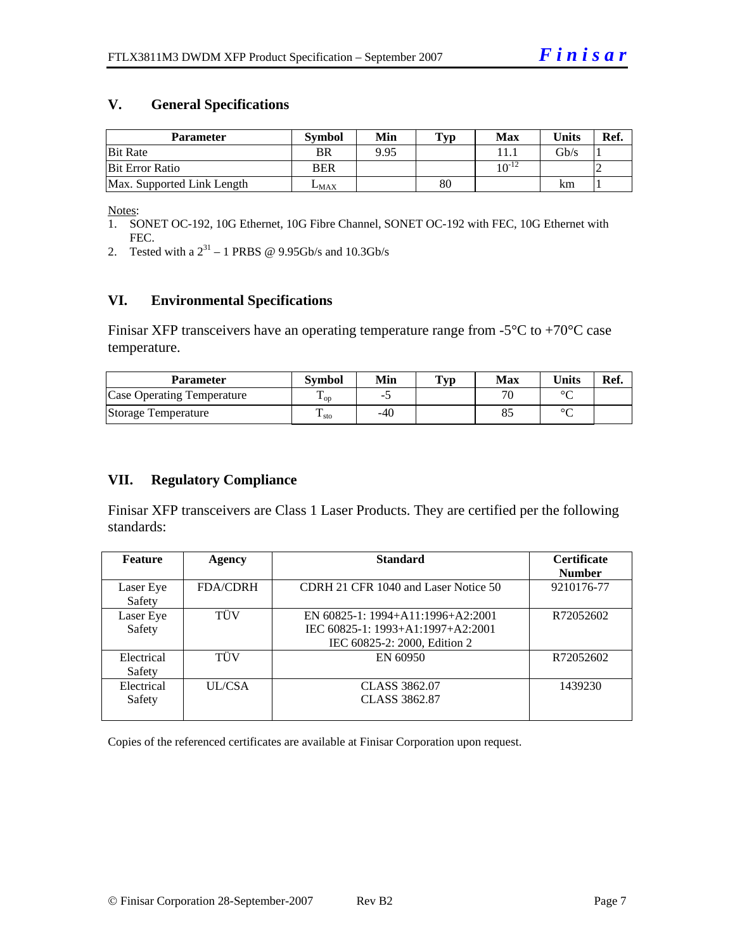#### **V. General Specifications**

| <b>Parameter</b>           | <b>Symbol</b> | Min  | Typ | <b>Max</b> | <b>Units</b> | Ref. |
|----------------------------|---------------|------|-----|------------|--------------|------|
| <b>Bit Rate</b>            | BR            | 9.95 |     |            | Gb/s         |      |
| <b>Bit Error Ratio</b>     | <b>BER</b>    |      |     | $10^{-12}$ |              |      |
| Max. Supported Link Length | $L_{MAX}$     |      | 80  |            | km           |      |

Notes:

- 1. SONET OC-192, 10G Ethernet, 10G Fibre Channel, SONET OC-192 with FEC, 10G Ethernet with FEC.
- 2. Tested with a  $2^{31} 1$  PRBS @ 9.95Gb/s and 10.3Gb/s

## **VI. Environmental Specifications**

Finisar XFP transceivers have an operating temperature range from  $-5^{\circ}C$  to  $+70^{\circ}C$  case temperature.

| Parameter                         | Svmbol            | Min | <b>Typ</b> | Max   | <b>Units</b> | Ref. |
|-----------------------------------|-------------------|-----|------------|-------|--------------|------|
| <b>Case Operating Temperature</b> | $\mathbf{1}_{OD}$ | -   |            | $\pi$ | $\circ$      |      |
| Storage Temperature               | m<br>▲ sto        | -40 |            | Ō.    | $\sim$       |      |

# **VII. Regulatory Compliance**

Finisar XFP transceivers are Class 1 Laser Products. They are certified per the following standards:

| <b>Feature</b> | <b>Agency</b>   | <b>Standard</b>                      | <b>Certificate</b> |
|----------------|-----------------|--------------------------------------|--------------------|
|                |                 |                                      | <b>Number</b>      |
| Laser Eye      | <b>FDA/CDRH</b> | CDRH 21 CFR 1040 and Laser Notice 50 | 9210176-77         |
| Safety         |                 |                                      |                    |
| Laser Eye      | TÜV             | EN $60825-1:1994+A11:1996+A2:2001$   | R72052602          |
| Safety         |                 | IEC 60825-1: 1993+A1:1997+A2:2001    |                    |
|                |                 | IEC 60825-2: 2000, Edition 2         |                    |
| Electrical     | <b>TUV</b>      | EN 60950                             | R72052602          |
| Safety         |                 |                                      |                    |
| Electrical     | UL/CSA          | CLASS 3862.07                        | 1439230            |
| Safety         |                 | CLASS 3862.87                        |                    |
|                |                 |                                      |                    |

Copies of the referenced certificates are available at Finisar Corporation upon request.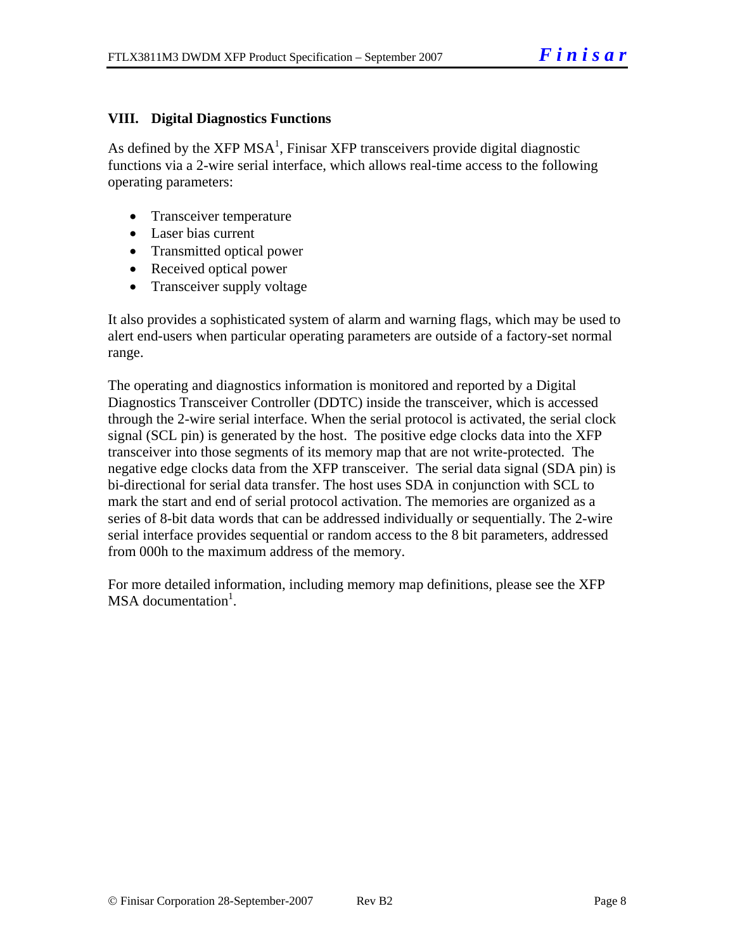# **VIII. Digital Diagnostics Functions**

As defined by the XFP MSA<sup>1</sup>, Finisar XFP transceivers provide digital diagnostic functions via a 2-wire serial interface, which allows real-time access to the following operating parameters:

- Transceiver temperature
- Laser bias current
- Transmitted optical power
- Received optical power
- Transceiver supply voltage

It also provides a sophisticated system of alarm and warning flags, which may be used to alert end-users when particular operating parameters are outside of a factory-set normal range.

The operating and diagnostics information is monitored and reported by a Digital Diagnostics Transceiver Controller (DDTC) inside the transceiver, which is accessed through the 2-wire serial interface. When the serial protocol is activated, the serial clock signal (SCL pin) is generated by the host. The positive edge clocks data into the XFP transceiver into those segments of its memory map that are not write-protected. The negative edge clocks data from the XFP transceiver. The serial data signal (SDA pin) is bi-directional for serial data transfer. The host uses SDA in conjunction with SCL to mark the start and end of serial protocol activation. The memories are organized as a series of 8-bit data words that can be addressed individually or sequentially. The 2-wire serial interface provides sequential or random access to the 8 bit parameters, addressed from 000h to the maximum address of the memory.

For more detailed information, including memory map definitions, please see the XFP MSA documentation<sup>1</sup>.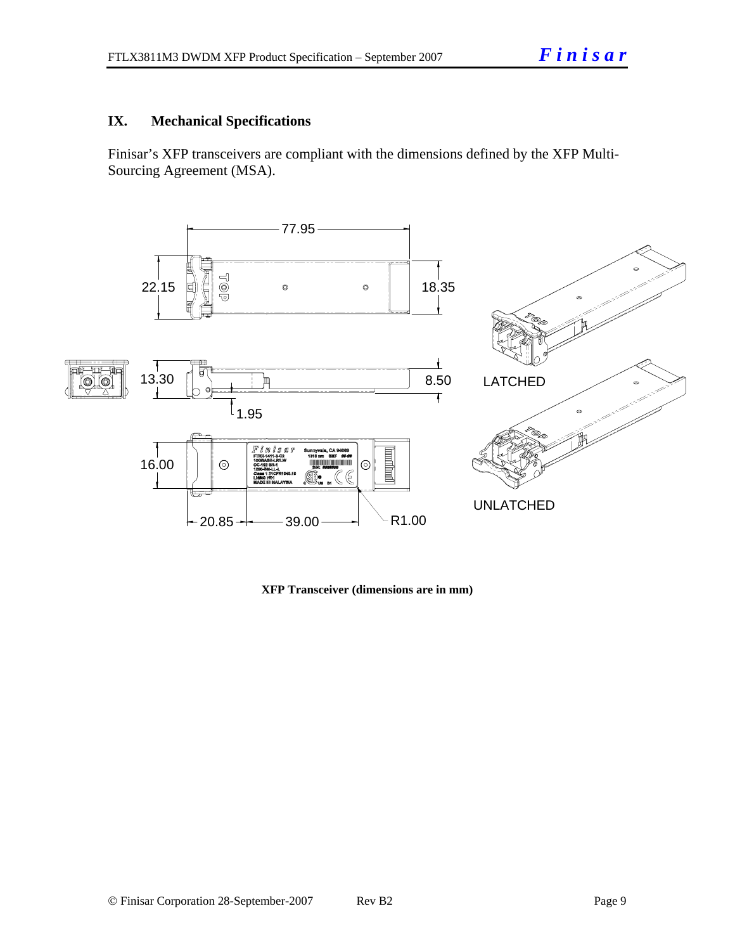# **IX. Mechanical Specifications**

Finisar's XFP transceivers are compliant with the dimensions defined by the XFP Multi-Sourcing Agreement (MSA).



**XFP Transceiver (dimensions are in mm)**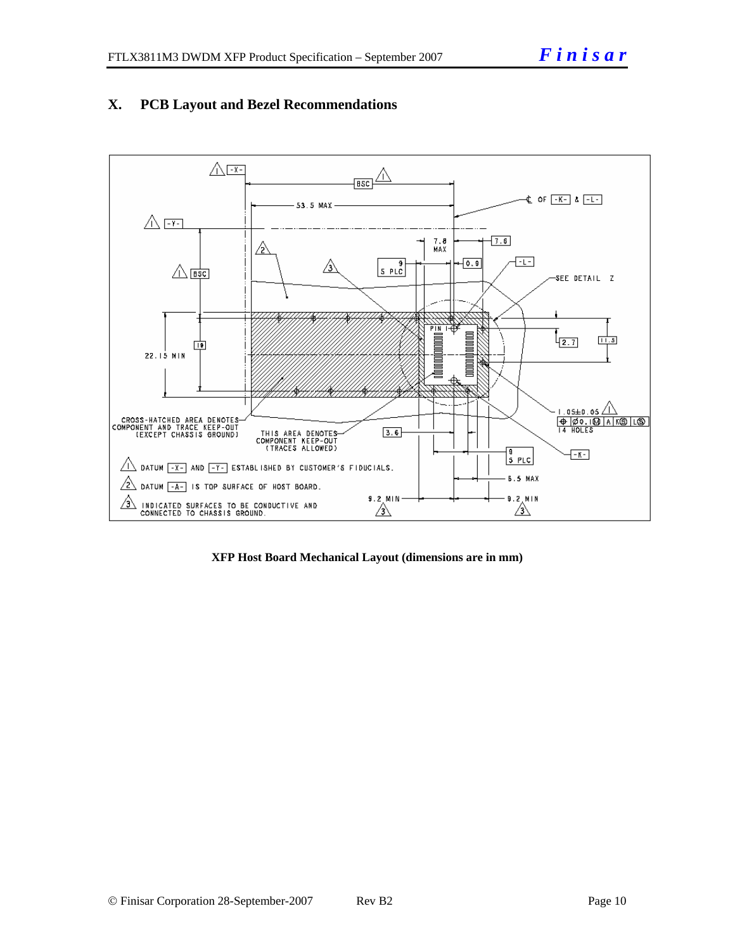

# **X. PCB Layout and Bezel Recommendations**

**XFP Host Board Mechanical Layout (dimensions are in mm)**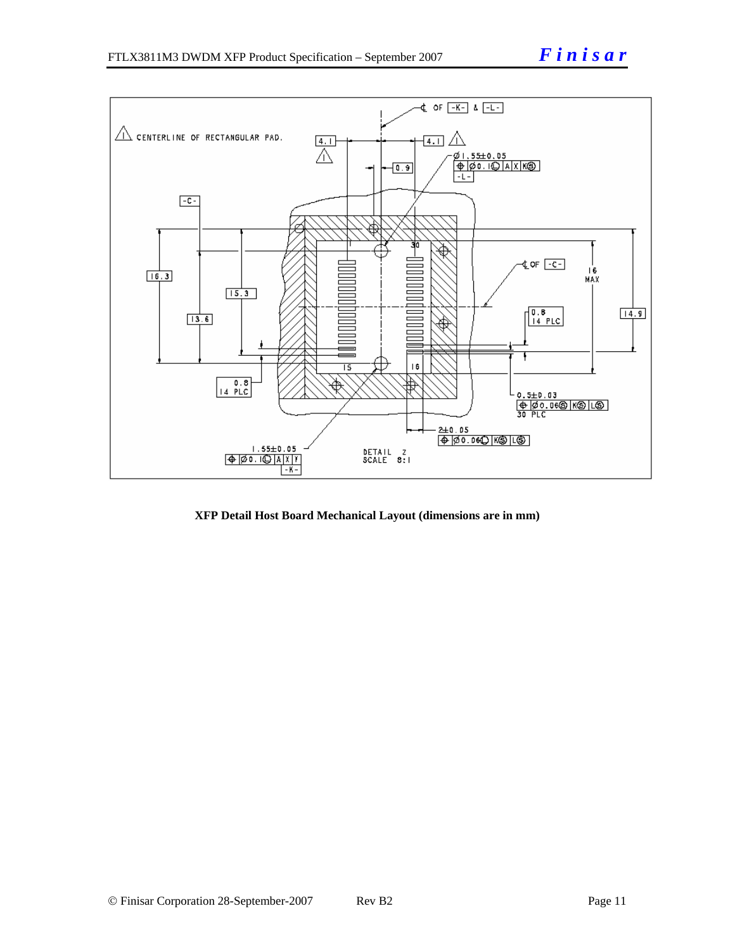

**XFP Detail Host Board Mechanical Layout (dimensions are in mm)**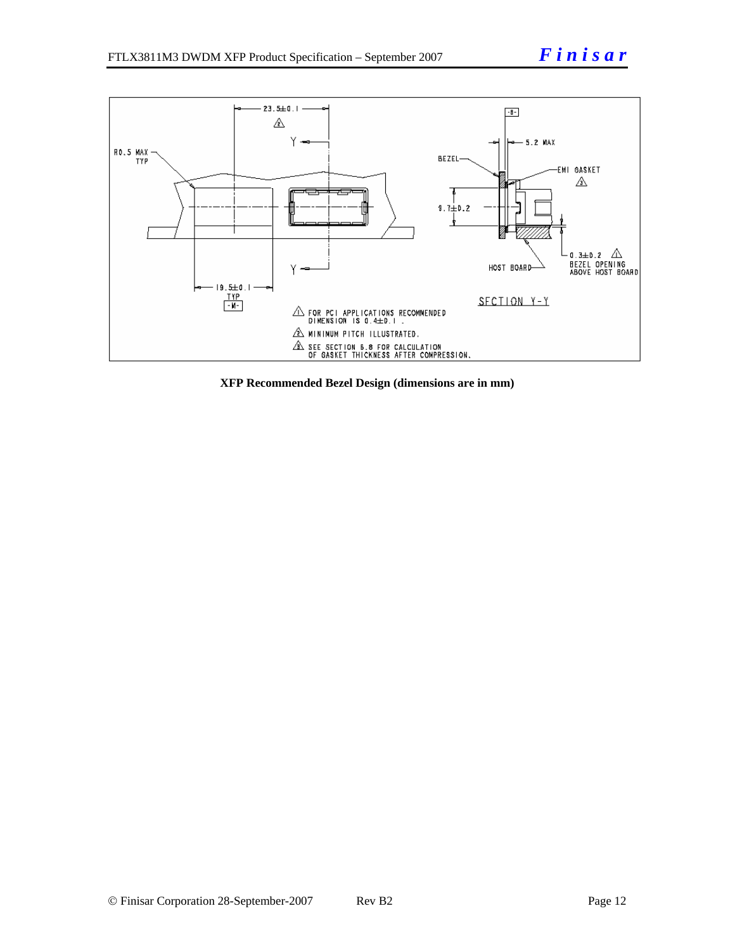

**XFP Recommended Bezel Design (dimensions are in mm)**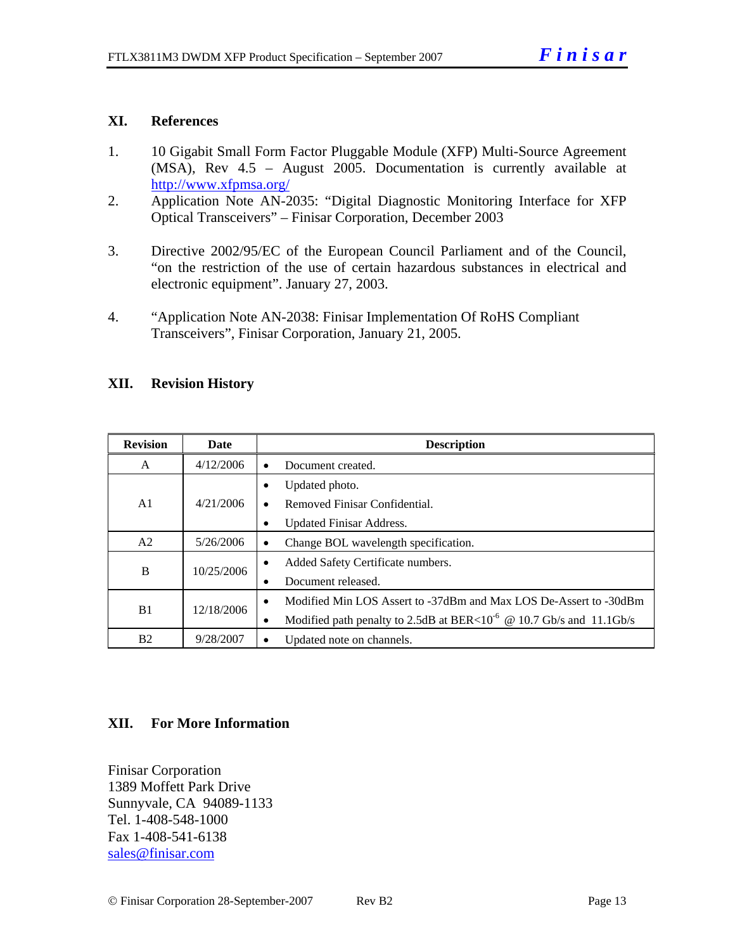## **XI. References**

- 1. 10 Gigabit Small Form Factor Pluggable Module (XFP) Multi-Source Agreement (MSA), Rev 4.5 – August 2005. Documentation is currently available at <http://www.xfpmsa.org/>
- 2. Application Note AN-2035: "Digital Diagnostic Monitoring Interface for XFP Optical Transceivers" – Finisar Corporation, December 2003
- 3. Directive 2002/95/EC of the European Council Parliament and of the Council, "on the restriction of the use of certain hazardous substances in electrical and electronic equipment". January 27, 2003.
- 4. "Application Note AN-2038: Finisar Implementation Of RoHS Compliant Transceivers", Finisar Corporation, January 21, 2005.

## **XII. Revision History**

| <b>Revision</b> | Date       |           | <b>Description</b>                                                              |
|-----------------|------------|-----------|---------------------------------------------------------------------------------|
| A               | 4/12/2006  |           | Document created.                                                               |
|                 |            | ٠         | Updated photo.                                                                  |
| A1              | 4/21/2006  | $\bullet$ | Removed Finisar Confidential.                                                   |
|                 |            | ٠         | <b>Updated Finisar Address.</b>                                                 |
| A <sub>2</sub>  | 5/26/2006  | ٠         | Change BOL wavelength specification.                                            |
| B               |            | ٠         | Added Safety Certificate numbers.                                               |
|                 | 10/25/2006 |           | Document released.                                                              |
|                 |            | $\bullet$ | Modified Min LOS Assert to -37dBm and Max LOS De-Assert to -30dBm               |
| B1              | 12/18/2006 | ٠         | Modified path penalty to 2.5dB at BER<10 <sup>-6</sup> @ 10.7 Gb/s and 11.1Gb/s |
| <b>B2</b>       | 9/28/2007  |           | Updated note on channels.                                                       |

# **XII. For More Information**

Finisar Corporation 1389 Moffett Park Drive Sunnyvale, CA 94089-1133 Tel. 1-408-548-1000 Fax 1-408-541-6138 [sales@finisar.com](mailto:sales@finisar.com)